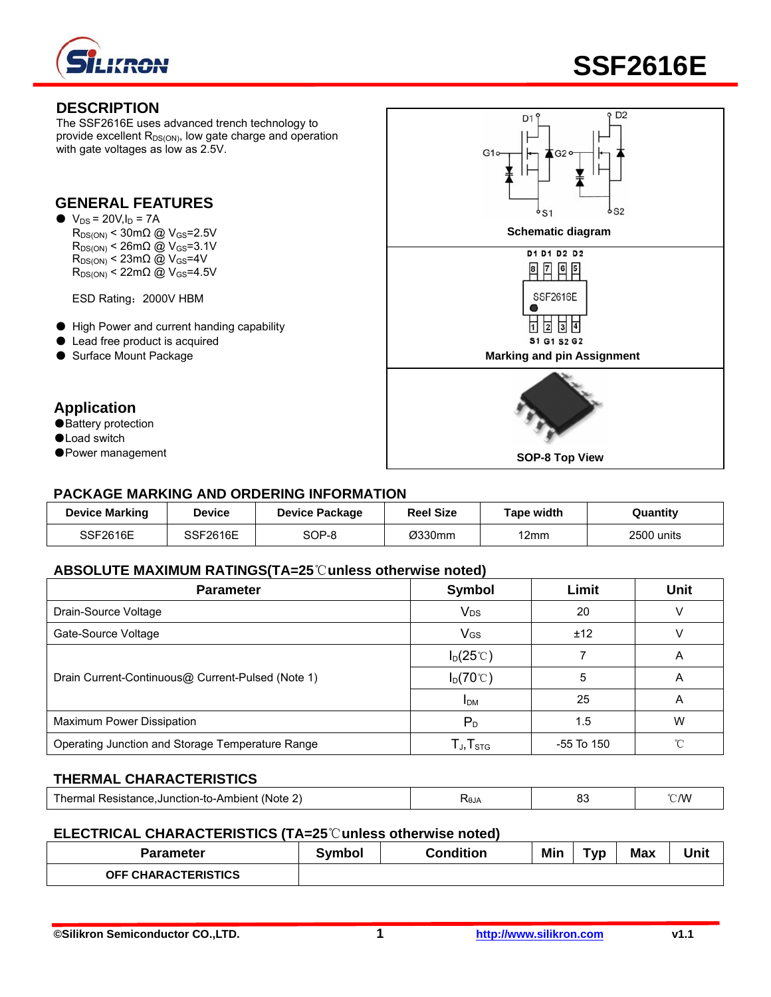



#### **DESCRIPTION**

The SSF2616E uses advanced trench technology to provide excellent  $R_{DS(ON)}$ , low gate charge and operation with gate voltages as low as 2.5V.

#### **GENERAL FEATURES**

 $\bullet\ \text{V}_{\text{DS}} = 20 \text{V}, \text{I}_{\text{D}} = 7 \text{A}$  $R_{DS(ON)}$  < 26m $\Omega$  @ V<sub>GS</sub>=3.1V  $R_{DS(ON)}$  < 23m $\Omega$  @ V<sub>GS</sub>=4V  $R_{DS(ON)}$  < 22m $\Omega$  @ V<sub>GS</sub>=4.5V

ESD Rating:2000V HBM

- High Power and current handing capability
- Lead free product is acquired
- 

## **Application**

- Battery protection
- ●Load switch
- 



#### **PACKAGE MARKING AND ORDERING INFORMATION**

| <b>Device Marking</b> | Device          | <b>Device Package</b> | <b>Reel Size</b> | Гаре width | Quantitv   |
|-----------------------|-----------------|-----------------------|------------------|------------|------------|
| SSF2616E              | <b>SSF2616E</b> | SOP-8                 | Ø330mm           | 12mm       | 2500 units |

#### **ABSOLUTE MAXIMUM RATINGS(TA=25**℃**unless otherwise noted)**

| <b>Parameter</b>                                  | <b>Symbol</b>           | Limit      | <b>Unit</b> |
|---------------------------------------------------|-------------------------|------------|-------------|
| Drain-Source Voltage                              | <b>V<sub>DS</sub></b>   | 20         |             |
| Gate-Source Voltage                               | VGS                     | ±12        |             |
|                                                   | $I_D(25^\circ\text{C})$ |            | A           |
| Drain Current-Continuous@ Current-Pulsed (Note 1) | $I_D(70^{\circ}C)$      | 5          | A           |
|                                                   | <b>I</b> <sub>DM</sub>  | 25         | A           |
| Maximum Power Dissipation                         | $P_{D}$                 | 1.5        | W           |
| Operating Junction and Storage Temperature Range  | $T_{J}$ , $T_{STG}$     | -55 To 150 | ∽           |

## **THERMAL CHARACTERISTICS**

| (Note<br>e.Junction-to-Ambient .<br>Resistance.<br>nei.<br>.,<br>на | <b>NAJA</b> | ັ<br>$ -$ | C/W |
|---------------------------------------------------------------------|-------------|-----------|-----|
|---------------------------------------------------------------------|-------------|-----------|-----|

#### **ELECTRICAL CHARACTERISTICS (TA=25**℃**unless otherwise noted)**

| Parameter                  | iymbol | Condition | Min | $\sim$<br>[VD | <b>Max</b> | Unit |
|----------------------------|--------|-----------|-----|---------------|------------|------|
| <b>OFF CHARACTERISTICS</b> |        |           |     |               |            |      |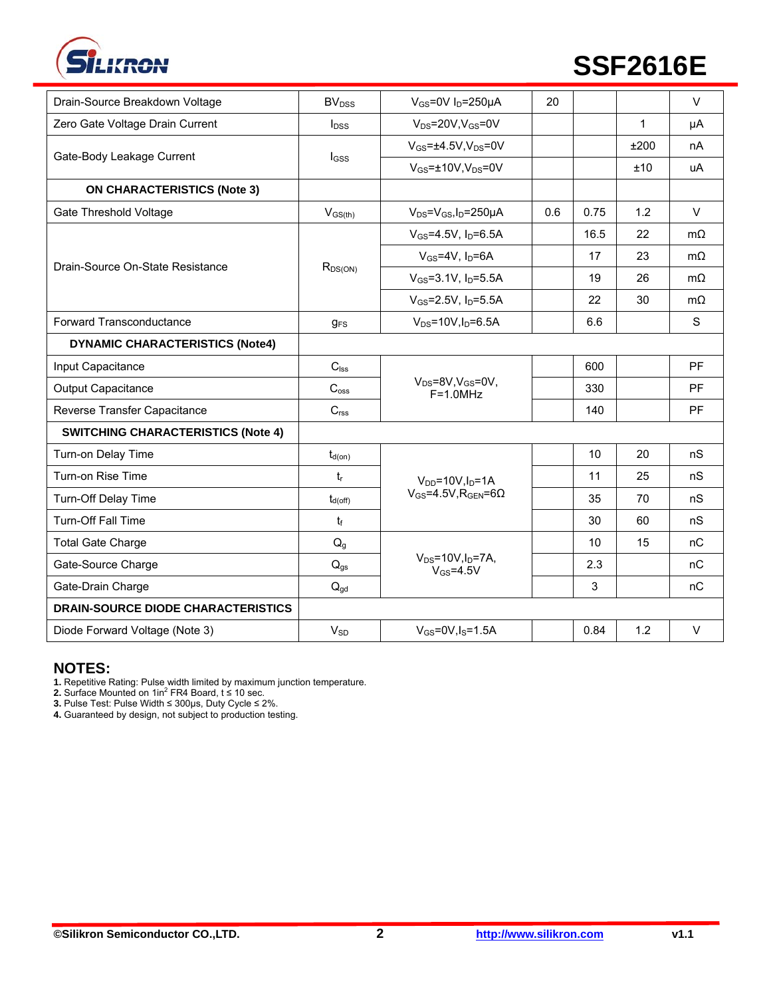

# **EXPLORED EXPLORED SSF2616E**

| Drain-Source Breakdown Voltage            | BV <sub>DSS</sub>            | $V_{GS}$ =0V I <sub>D</sub> =250µA                   | 20  |      |      | $\vee$    |
|-------------------------------------------|------------------------------|------------------------------------------------------|-----|------|------|-----------|
| Zero Gate Voltage Drain Current           | $I_{DSS}$                    | $V_{DS}$ =20V, $V_{GS}$ =0V                          |     |      | 1    | μA        |
| Gate-Body Leakage Current                 |                              | $V_{GS} = \pm 4.5V$ , $V_{DS} = 0V$                  |     |      | ±200 | nA        |
|                                           | l <sub>GSS</sub>             | $V_{GS}$ =±10V, $V_{DS}$ =0V                         |     |      | ±10  | uA        |
| <b>ON CHARACTERISTICS (Note 3)</b>        |                              |                                                      |     |      |      |           |
| Gate Threshold Voltage                    | $V_{GS(th)}$                 | $V_{DS} = V_{GS}I_D = 250 \mu A$                     | 0.6 | 0.75 | 1.2  | $\vee$    |
|                                           |                              | $V_{GS} = 4.5V$ , $I_D = 6.5A$                       |     | 16.5 | 22   | $m\Omega$ |
| Drain-Source On-State Resistance          |                              | $V_{GS}$ =4V, $I_D$ =6A                              |     | 17   | 23   | $m\Omega$ |
|                                           | $R_{DS(ON)}$                 | $V_{GS} = 3.1 V$ , $I_D = 5.5 A$                     |     | 19   | 26   | $m\Omega$ |
|                                           |                              | $V_{GS} = 2.5V$ , $I_D = 5.5A$                       |     | 22   | 30   | $m\Omega$ |
| Forward Transconductance                  | $g_{FS}$                     | $V_{DS} = 10V, I_D = 6.5A$                           |     | 6.6  |      | S         |
| <b>DYNAMIC CHARACTERISTICS (Note4)</b>    |                              |                                                      |     |      |      |           |
| Input Capacitance                         | $C_{\text{lss}}$             |                                                      |     | 600  |      | <b>PF</b> |
| <b>Output Capacitance</b>                 | $C_{\hbox{\scriptsize oss}}$ | $V_{DS} = 8V$ , $V_{GS} = 0V$ ,<br>$F = 1.0 MHz$     |     | 330  |      | PF        |
| Reverse Transfer Capacitance              | C <sub>rss</sub>             |                                                      |     | 140  |      | PF        |
| <b>SWITCHING CHARACTERISTICS (Note 4)</b> |                              |                                                      |     |      |      |           |
| Turn-on Delay Time                        | $t_{d(on)}$                  |                                                      |     | 10   | 20   | nS        |
| Turn-on Rise Time                         | $t_{r}$                      | $V_{DD} = 10V, I_D = 1A$                             |     | 11   | 25   | nS        |
| Turn-Off Delay Time                       | $t_{d(\mathrm{off})}$        | $V_{GS} = 4.5V$ , R <sub>GEN</sub> =60               |     | 35   | 70   | nS        |
| <b>Turn-Off Fall Time</b>                 | $t_f$                        |                                                      |     | 30   | 60   | nS        |
| <b>Total Gate Charge</b>                  | $\mathsf{Q}_{\texttt{g}}$    |                                                      |     | 10   | 15   | nC        |
| Gate-Source Charge                        | $Q_{qs}$                     | $V_{DS} = 10V, I_D = 7A,$<br>$V$ <sub>GS</sub> =4.5V |     | 2.3  |      | nC        |
| Gate-Drain Charge                         | $Q_{gd}$                     |                                                      |     | 3    |      | nC        |
| <b>DRAIN-SOURCE DIODE CHARACTERISTICS</b> |                              |                                                      |     |      |      |           |
| Diode Forward Voltage (Note 3)            | $V_{SD}$                     | $V_{GS}$ =0V, $I_S$ =1.5A                            |     | 0.84 | 1.2  | $\vee$    |

## **NOTES:**

**1.** Repetitive Rating: Pulse width limited by maximum junction temperature.<br>**2.** Surface Mounted on 1in<sup>2</sup> FR4 Board, t ≤ 10 sec.

**3.** Pulse Test: Pulse Width ≤ 300μs, Duty Cycle ≤ 2%.

**4.** Guaranteed by design, not subject to production testing.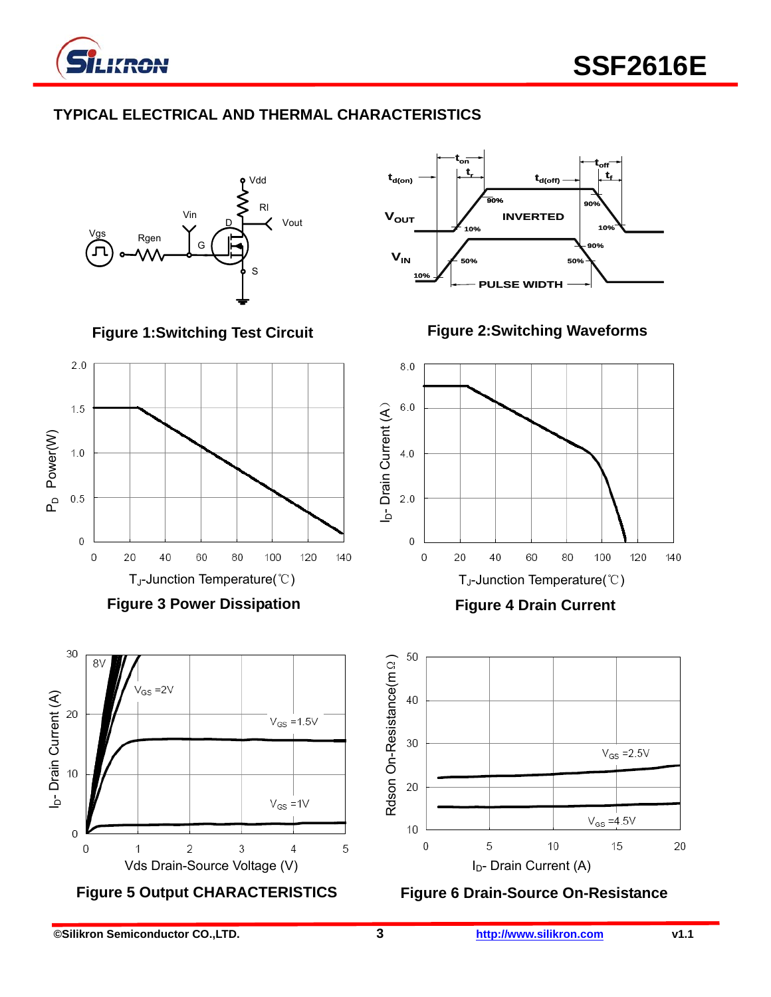

# **TYPICAL ELECTRICAL AND THERMAL CHARACTERISTICS**

Vdd Rl Vin Vout D Rgen G 工 S

**Figure 1:Switching Test Circuit** 



**Figure 3 Power Dissipation** 





**Figure 2:Switching Waveforms** 



**Figure 4 Drain Current** 



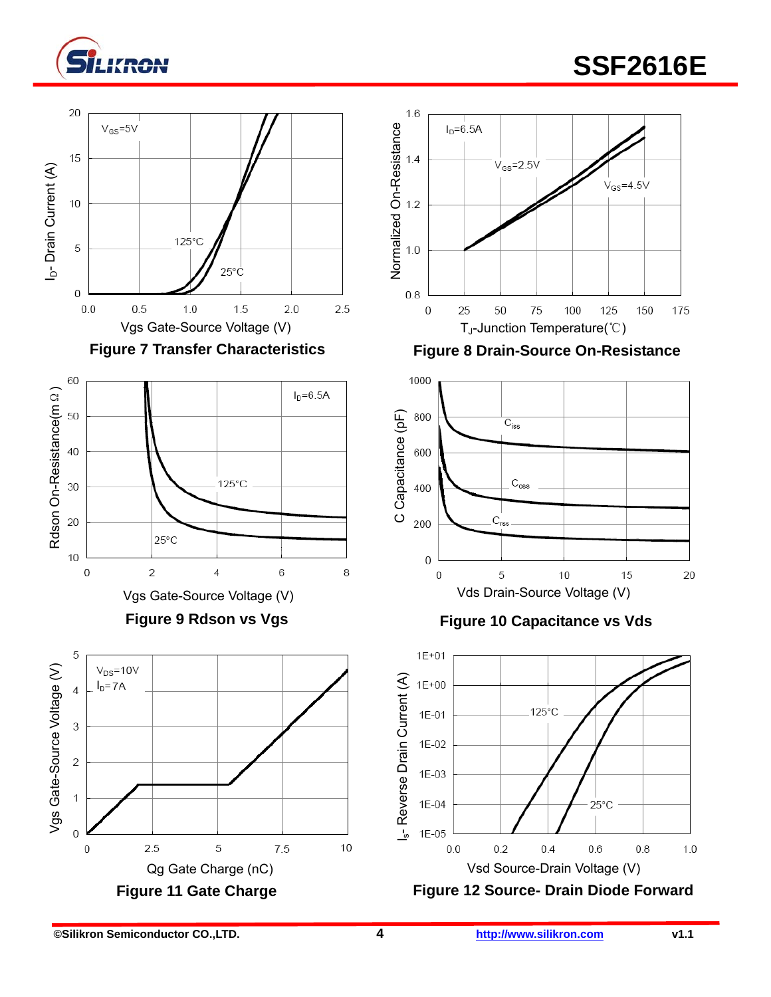

# **SSF2616E**





**Figure 9 Rdson vs Vgs** 





Figure 7 Transfer Characteristics **Figure 8 Drain-Source On-Resistance** 



## **Figure 10 Capacitance vs Vds**

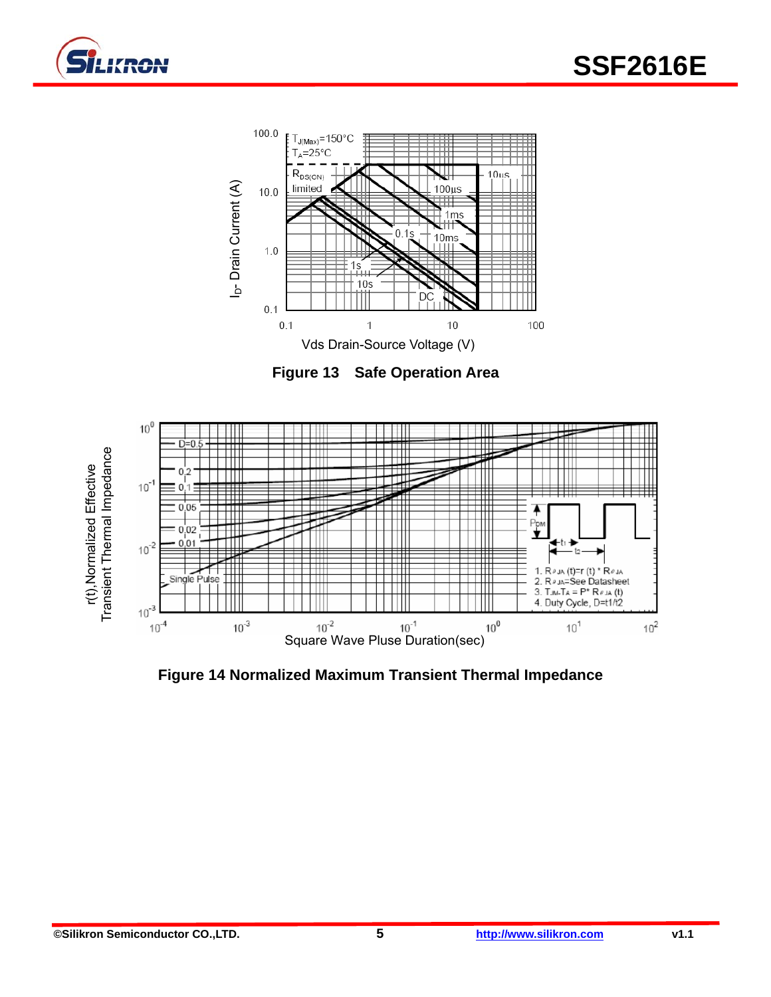



**Figure 13 Safe Operation Area** 



**Figure 14 Normalized Maximum Transient Thermal Impedance**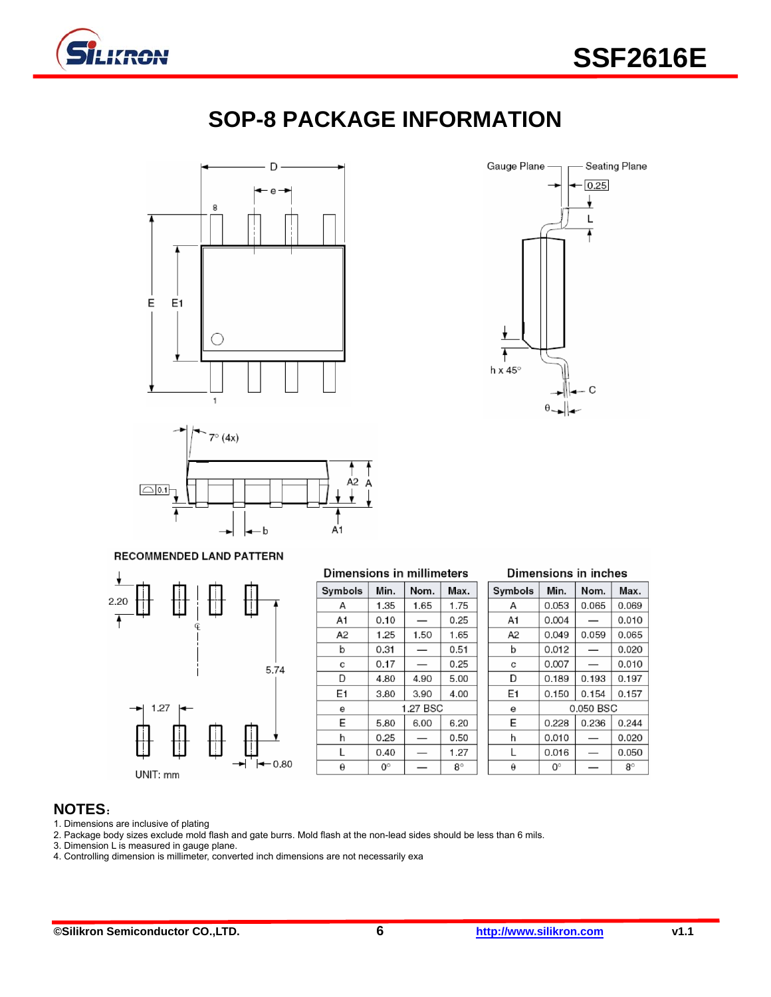

# **SOP-8 PACKAGE INFORMATION**







#### RECOMMENDED LAND PATTERN



| Dimensions in millimeters |             |      |           |  |  |  |
|---------------------------|-------------|------|-----------|--|--|--|
| Symbols                   | Min.        | Nom. | Max.      |  |  |  |
| А                         | 1.35        | 1.65 | 1.75      |  |  |  |
| A1                        | 0.10        |      | 0.25      |  |  |  |
| А2                        | 1.25        | 1.50 | 1.65      |  |  |  |
| b                         | 0.31        |      | 0.51      |  |  |  |
| C                         | 0.17        |      | 0.25      |  |  |  |
| D                         | 4.80        | 4.90 | 5.00      |  |  |  |
| E1                        | 3.80        | 3.90 | 4.00      |  |  |  |
| е                         | 1.27 BSC    |      |           |  |  |  |
| E                         | 5.80        | 6.00 | 6.20      |  |  |  |
| h                         | 0.25        |      | 0.50      |  |  |  |
| L                         | 0.40        |      | 1.27      |  |  |  |
| $\theta$                  | $0^{\circ}$ |      | $8^\circ$ |  |  |  |

| Symbols        | Min.      | Nom.  | Max.  |  |
|----------------|-----------|-------|-------|--|
| А              | 0.053     | 0.065 | 0.069 |  |
| A1             | 0.004     |       | 0.010 |  |
| A <sub>2</sub> | 0.049     | 0.059 | 0.065 |  |
| b              | 0.012     |       | 0.020 |  |
| C              | 0.007     |       | 0.010 |  |
| D              | 0.189     | 0.193 | 0.197 |  |
| E1             | 0.150     | 0.154 | 0.157 |  |
| e              | 0.050 BSC |       |       |  |

0.228

0.010

0.016

 $\mathsf{O}^\circ$ 

0.236

 $\overline{\phantom{0}}$ 

 $\overline{\phantom{0}}$ 

 $\overline{\phantom{0}}$ 

0.244

0.020

0.050

 $8^\circ$ 

E

 $\mathsf{h}$ 

L

 $\pmb{\theta}$ 

Dimensions in inches

#### **NOTES**:

1. Dimensions are inclusive of plating

2. Package body sizes exclude mold flash and gate burrs. Mold flash at the non-lead sides should be less than 6 mils.

3. Dimension L is measured in gauge plane.

4. Controlling dimension is millimeter, converted inch dimensions are not necessarily exa